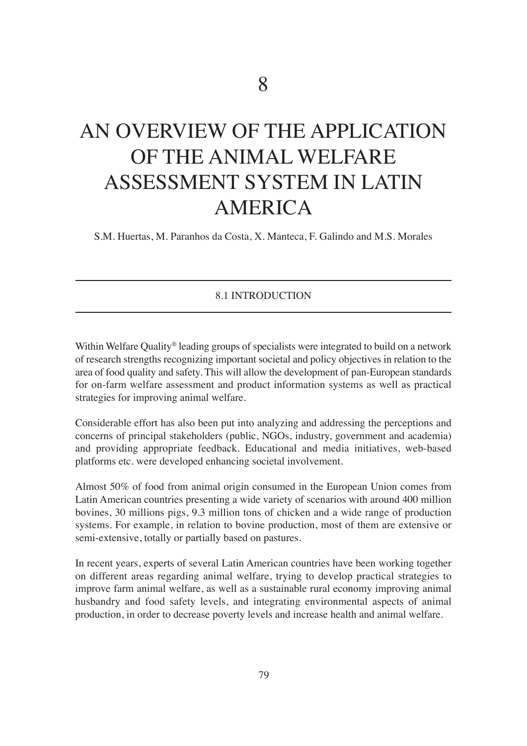# An overview of the ApplicAtion of the AnimAl welfAre Assessment system in lAtin AMERICA

s.m. huertas, m. paranhos da costa, X. manteca, f. Galindo and m.s. morales

#### 8.1 introDUction

Within Welfare Quality<sup>®</sup> leading groups of specialists were integrated to build on a network of research strengths recognizing important societal and policy objectives in relation to the area of food quality and safety. This will allow the development of pan-European standards for on-farm welfare assessment and product information systems as well as practical strategies for improving animal welfare.

considerable effort has also been put into analyzing and addressing the perceptions and concerns of principal stakeholders (public, NGOs, industry, government and academia) and providing appropriate feedback. Educational and media initiatives, web-based platforms etc. were developed enhancing societal involvement.

Almost 50% of food from animal origin consumed in the European Union comes from Latin American countries presenting a wide variety of scenarios with around 400 million bovines, 30 millions pigs, 9.3 million tons of chicken and a wide range of production systems. for example, in relation to bovine production, most of them are extensive or semi-extensive, totally or partially based on pastures.

In recent years, experts of several Latin American countries have been working together on different areas regarding animal welfare, trying to develop practical strategies to improve farm animal welfare, as well as a sustainable rural economy improving animal husbandry and food safety levels, and integrating environmental aspects of animal production, in order to decrease poverty levels and increase health and animal welfare.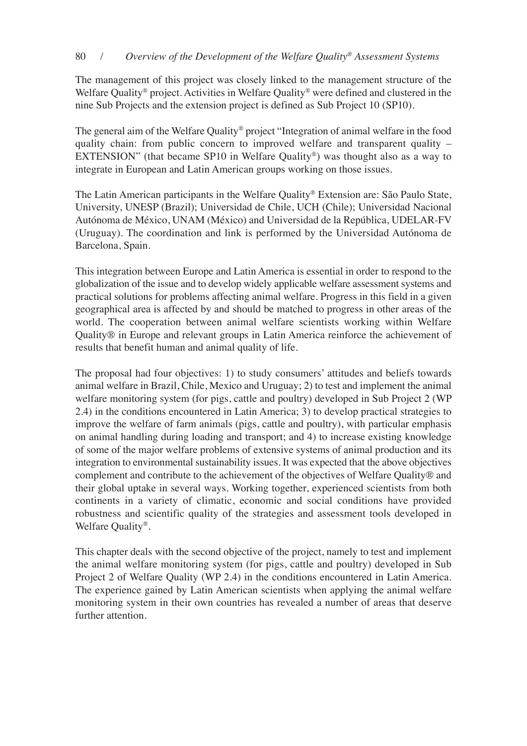The management of this project was closely linked to the management structure of the Welfare Quality<sup>®</sup> project. Activities in Welfare Quality<sup>®</sup> were defined and clustered in the nine Sub Projects and the extension project is defined as Sub Project 10 (SP10).

The general aim of the Welfare Quality® project "Integration of animal welfare in the food quality chain: from public concern to improved welfare and transparent quality – EXTENSION" (that became SP10 in Welfare Quality®) was thought also as a way to integrate in European and Latin American groups working on those issues.

The Latin American participants in the Welfare Quality® Extension are: São Paulo State, University, UNESP (Brazil); Universidad de Chile, UCH (Chile); Universidad Nacional Autónoma de México, UNAM (México) and Universidad de la República, UDELAR-FV (Uruguay). The coordination and link is performed by the Universidad Autónoma de Barcelona, Spain.

This integration between Europe and Latin America is essential in order to respond to the globalization of the issue and to develop widely applicable welfare assessment systems and practical solutions for problems affecting animal welfare. progress in this field in a given geographical area is affected by and should be matched to progress in other areas of the world. The cooperation between animal welfare scientists working within Welfare Quality® in Europe and relevant groups in Latin America reinforce the achievement of results that benefit human and animal quality of life.

The proposal had four objectives: 1) to study consumers' attitudes and beliefs towards animal welfare in Brazil, chile, mexico and Uruguay; 2) to test and implement the animal welfare monitoring system (for pigs, cattle and poultry) developed in Sub Project 2 (WP 2.4) in the conditions encountered in latin America; 3) to develop practical strategies to improve the welfare of farm animals (pigs, cattle and poultry), with particular emphasis on animal handling during loading and transport; and 4) to increase existing knowledge of some of the major welfare problems of extensive systems of animal production and its integration to environmental sustainability issues. It was expected that the above objectives complement and contribute to the achievement of the objectives of welfare Quality® and their global uptake in several ways. working together, experienced scientists from both continents in a variety of climatic, economic and social conditions have provided robustness and scientific quality of the strategies and assessment tools developed in welfare Quality®.

This chapter deals with the second objective of the project, namely to test and implement the animal welfare monitoring system (for pigs, cattle and poultry) developed in sub Project 2 of Welfare Quality (WP 2.4) in the conditions encountered in Latin America. The experience gained by Latin American scientists when applying the animal welfare monitoring system in their own countries has revealed a number of areas that deserve further attention.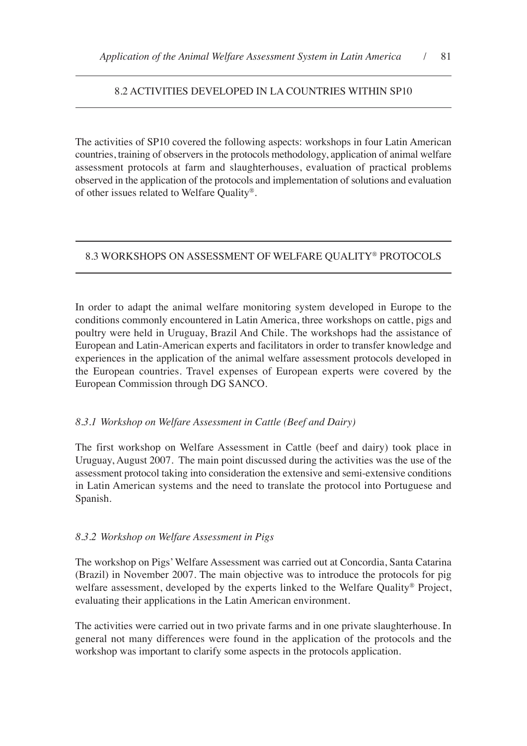## 8.2 Activities DevelopeD in lA coUntries within sp10

The activities of SP10 covered the following aspects: workshops in four Latin American countries, training of observers in the protocols methodology, application of animal welfare assessment protocols at farm and slaughterhouses, evaluation of practical problems observed in the application of the protocols and implementation of solutions and evaluation of other issues related to welfare Quality®.

# 8.3 worKshops on Assessment of welfAre QUAlity® protocols

In order to adapt the animal welfare monitoring system developed in Europe to the conditions commonly encountered in latin America, three workshops on cattle, pigs and poultry were held in Uruguay, Brazil And Chile. The workshops had the assistance of European and Latin-American experts and facilitators in order to transfer knowledge and experiences in the application of the animal welfare assessment protocols developed in the European countries. Travel expenses of European experts were covered by the European Commission through DG SANCO.

# *8.3.1 Workshop on Welfare Assessment in Cattle (Beef and Dairy)*

The first workshop on Welfare Assessment in Cattle (beef and dairy) took place in Uruguay, August 2007. The main point discussed during the activities was the use of the assessment protocol taking into consideration the extensive and semi-extensive conditions in latin American systems and the need to translate the protocol into portuguese and spanish.

#### *8.3.2 Workshop on Welfare Assessment in Pigs*

The workshop on Pigs' Welfare Assessment was carried out at Concordia, Santa Catarina (Brazil) in November 2007. The main objective was to introduce the protocols for pig welfare assessment, developed by the experts linked to the Welfare Quality<sup>®</sup> Project, evaluating their applications in the latin American environment.

The activities were carried out in two private farms and in one private slaughterhouse. In general not many differences were found in the application of the protocols and the workshop was important to clarify some aspects in the protocols application.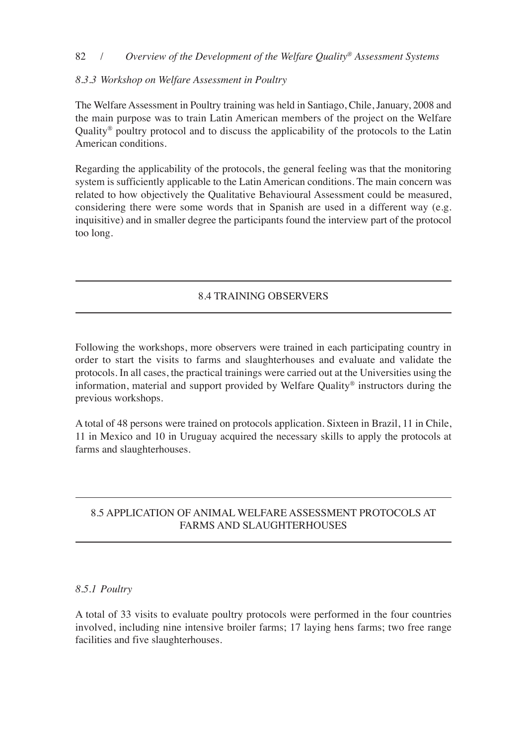## 82 / *Overview of the Development of the Welfare Quality® Assessment Systems*

# *8.3.3 Workshop on Welfare Assessment in Poultry*

The Welfare Assessment in Poultry training was held in Santiago, Chile, January, 2008 and the main purpose was to train latin American members of the project on the welfare Quality<sup>®</sup> poultry protocol and to discuss the applicability of the protocols to the Latin American conditions.

Regarding the applicability of the protocols, the general feeling was that the monitoring system is sufficiently applicable to the Latin American conditions. The main concern was related to how objectively the Qualitative Behavioural Assessment could be measured, considering there were some words that in Spanish are used in a different way (e.g. inquisitive) and in smaller degree the participants found the interview part of the protocol too long.

# 8.4 trAininG oBservers

following the workshops, more observers were trained in each participating country in order to start the visits to farms and slaughterhouses and evaluate and validate the protocols. in all cases, the practical trainings were carried out at the Universities using the information, material and support provided by welfare Quality® instructors during the previous workshops.

A total of 48 persons were trained on protocols application. sixteen in Brazil, 11 in chile, 11 in mexico and 10 in Uruguay acquired the necessary skills to apply the protocols at farms and slaughterhouses.

# 8.5 ApplicAtion of AnimAl welfAre Assessment protocols At FARMS AND SLAUGHTERHOUSES

# *8.5.1 Poultry*

A total of 33 visits to evaluate poultry protocols were performed in the four countries involved, including nine intensive broiler farms; 17 laying hens farms; two free range facilities and five slaughterhouses.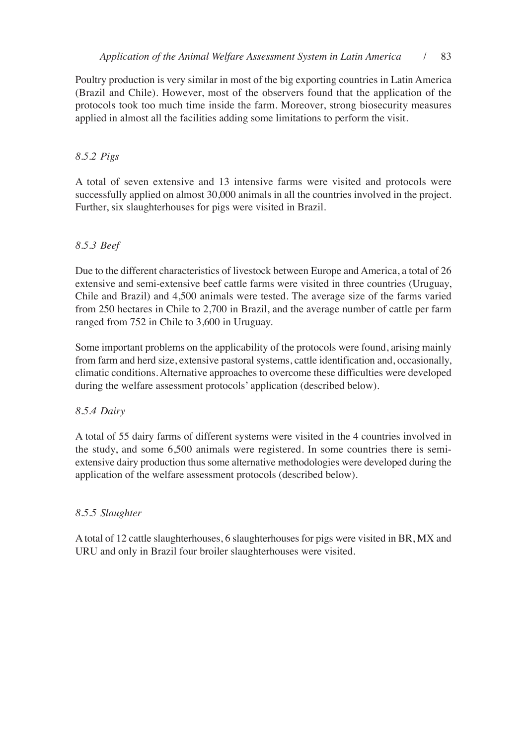poultry production is very similar in most of the big exporting countries in latin America (Brazil and chile). however, most of the observers found that the application of the protocols took too much time inside the farm. moreover, strong biosecurity measures applied in almost all the facilities adding some limitations to perform the visit.

## *8.5.2 Pigs*

A total of seven extensive and 13 intensive farms were visited and protocols were successfully applied on almost 30,000 animals in all the countries involved in the project. further, six slaughterhouses for pigs were visited in Brazil.

## *8.5.3 Beef*

Due to the different characteristics of livestock between Europe and America, a total of 26 extensive and semi-extensive beef cattle farms were visited in three countries (Uruguay, chile and Brazil) and 4,500 animals were tested. the average size of the farms varied from 250 hectares in chile to 2,700 in Brazil, and the average number of cattle per farm ranged from 752 in Chile to 3,600 in Uruguay.

some important problems on the applicability of the protocols were found, arising mainly from farm and herd size, extensive pastoral systems, cattle identification and, occasionally, climatic conditions. Alternative approaches to overcome these difficulties were developed during the welfare assessment protocols' application (described below).

#### *8.5.4 Dairy*

A total of 55 dairy farms of different systems were visited in the 4 countries involved in the study, and some 6,500 animals were registered. in some countries there is semiextensive dairy production thus some alternative methodologies were developed during the application of the welfare assessment protocols (described below).

#### *8.5.5 Slaughter*

A total of 12 cattle slaughterhouses, 6 slaughterhouses for pigs were visited in BR, MX and URU and only in Brazil four broiler slaughterhouses were visited.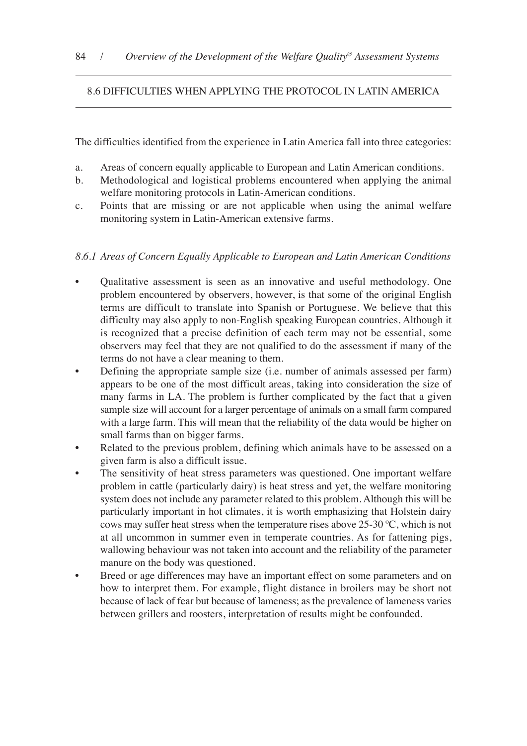# 8.6 DifficUlties when ApplyinG the protocol in lAtin AmericA

The difficulties identified from the experience in Latin America fall into three categories:

- a. Areas of concern equally applicable to European and Latin American conditions.
- b. methodological and logistical problems encountered when applying the animal welfare monitoring protocols in latin-American conditions.
- c. points that are missing or are not applicable when using the animal welfare monitoring system in latin-American extensive farms.

# *8.6.1 Areas of Concern Equally Applicable to European and Latin American Conditions*

- Qualitative assessment is seen as an innovative and useful methodology. one problem encountered by observers, however, is that some of the original English terms are difficult to translate into Spanish or Portuguese. We believe that this difficulty may also apply to non-English speaking European countries. Although it is recognized that a precise definition of each term may not be essential, some observers may feel that they are not qualified to do the assessment if many of the terms do not have a clear meaning to them.
- Defining the appropriate sample size (i.e. number of animals assessed per farm) appears to be one of the most difficult areas, taking into consideration the size of many farms in LA. The problem is further complicated by the fact that a given sample size will account for a larger percentage of animals on a small farm compared with a large farm. This will mean that the reliability of the data would be higher on small farms than on bigger farms.
- Related to the previous problem, defining which animals have to be assessed on a given farm is also a difficult issue.
- The sensitivity of heat stress parameters was questioned. One important welfare problem in cattle (particularly dairy) is heat stress and yet, the welfare monitoring system does not include any parameter related to this problem. Although this will be particularly important in hot climates, it is worth emphasizing that Holstein dairy cows may suffer heat stress when the temperature rises above  $25\text{-}30\text{ °C}$ , which is not at all uncommon in summer even in temperate countries. As for fattening pigs, wallowing behaviour was not taken into account and the reliability of the parameter manure on the body was questioned.
- Breed or age differences may have an important effect on some parameters and on how to interpret them. for example, flight distance in broilers may be short not because of lack of fear but because of lameness; as the prevalence of lameness varies between grillers and roosters, interpretation of results might be confounded.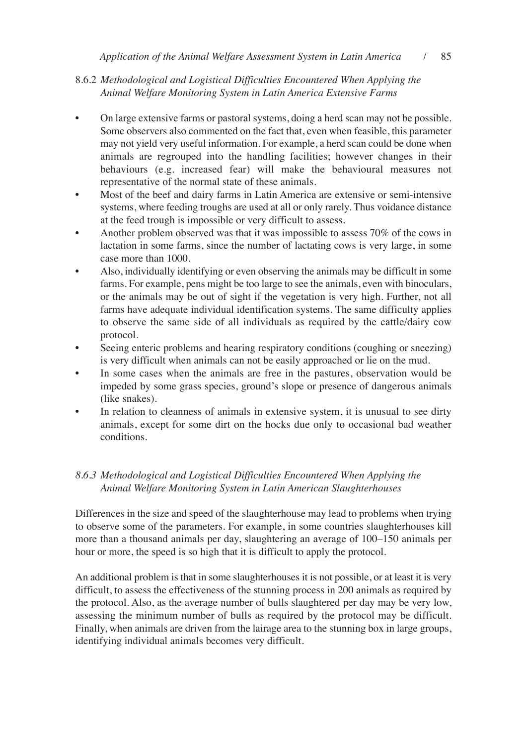# 8.6.2 *Methodological and Logistical Difficulties Encountered When Applying the Animal Welfare Monitoring System in Latin America Extensive Farms*

- On large extensive farms or pastoral systems, doing a herd scan may not be possible. Some observers also commented on the fact that, even when feasible, this parameter may not yield very useful information. for example, a herd scan could be done when animals are regrouped into the handling facilities; however changes in their behaviours (e.g. increased fear) will make the behavioural measures not representative of the normal state of these animals.
- Most of the beef and dairy farms in Latin America are extensive or semi-intensive systems, where feeding troughs are used at all or only rarely. Thus voidance distance at the feed trough is impossible or very difficult to assess.
- Another problem observed was that it was impossible to assess 70% of the cows in lactation in some farms, since the number of lactating cows is very large, in some case more than 1000.
- Also, individually identifying or even observing the animals may be difficult in some farms. for example, pens might be too large to see the animals, even with binoculars, or the animals may be out of sight if the vegetation is very high. further, not all farms have adequate individual identification systems. The same difficulty applies to observe the same side of all individuals as required by the cattle/dairy cow protocol.
- Seeing enteric problems and hearing respiratory conditions (coughing or sneezing) is very difficult when animals can not be easily approached or lie on the mud.
- In some cases when the animals are free in the pastures, observation would be impeded by some grass species, ground's slope or presence of dangerous animals (like snakes).
- In relation to cleanness of animals in extensive system, it is unusual to see dirty animals, except for some dirt on the hocks due only to occasional bad weather conditions.

# *8.6.3 Methodological and Logistical Difficulties Encountered When Applying the Animal Welfare Monitoring System in Latin American Slaughterhouses*

Differences in the size and speed of the slaughterhouse may lead to problems when trying to observe some of the parameters. for example, in some countries slaughterhouses kill more than a thousand animals per day, slaughtering an average of 100–150 animals per hour or more, the speed is so high that it is difficult to apply the protocol.

An additional problem is that in some slaughterhouses it is not possible, or at least it is very difficult, to assess the effectiveness of the stunning process in 200 animals as required by the protocol. Also, as the average number of bulls slaughtered per day may be very low, assessing the minimum number of bulls as required by the protocol may be difficult. finally, when animals are driven from the lairage area to the stunning box in large groups, identifying individual animals becomes very difficult.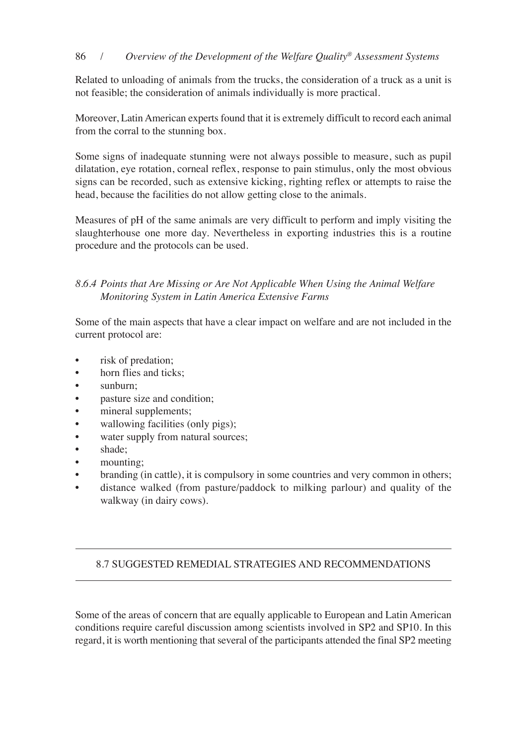# 86 / *Overview of the Development of the Welfare Quality® Assessment Systems*

Related to unloading of animals from the trucks, the consideration of a truck as a unit is not feasible; the consideration of animals individually is more practical.

moreover, latin American experts found that it is extremely difficult to record each animal from the corral to the stunning box.

some signs of inadequate stunning were not always possible to measure, such as pupil dilatation, eye rotation, corneal reflex, response to pain stimulus, only the most obvious signs can be recorded, such as extensive kicking, righting reflex or attempts to raise the head, because the facilities do not allow getting close to the animals.

measures of ph of the same animals are very difficult to perform and imply visiting the slaughterhouse one more day. Nevertheless in exporting industries this is a routine procedure and the protocols can be used.

# *8.6.4 Points that Are Missing or Are Not Applicable When Using the Animal Welfare Monitoring System in Latin America Extensive Farms*

some of the main aspects that have a clear impact on welfare and are not included in the current protocol are:

- risk of predation;
- horn flies and ticks;
- sunburn;
- pasture size and condition;
- mineral supplements;
- wallowing facilities (only pigs);
- water supply from natural sources;
- shade;
- mounting;
- branding (in cattle), it is compulsory in some countries and very common in others;
- distance walked (from pasture/paddock to milking parlour) and quality of the walkway (in dairy cows).

# 8.7 sUGGesteD remeDiAl strAteGies AnD recommenDAtions

Some of the areas of concern that are equally applicable to European and Latin American conditions require careful discussion among scientists involved in SP2 and SP10. In this regard, it is worth mentioning that several of the participants attended the final SP2 meeting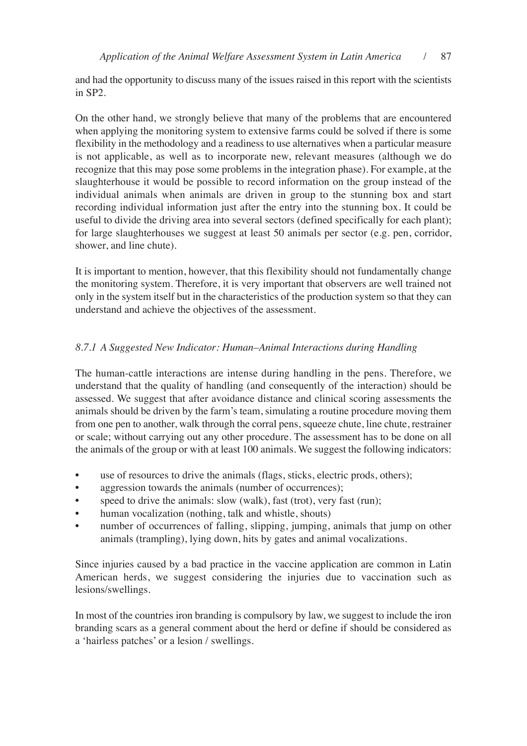and had the opportunity to discuss many of the issues raised in this report with the scientists in sp2.

on the other hand, we strongly believe that many of the problems that are encountered when applying the monitoring system to extensive farms could be solved if there is some flexibility in the methodology and a readiness to use alternatives when a particular measure is not applicable, as well as to incorporate new, relevant measures (although we do recognize that this may pose some problems in the integration phase). for example, at the slaughterhouse it would be possible to record information on the group instead of the individual animals when animals are driven in group to the stunning box and start recording individual information just after the entry into the stunning box. It could be useful to divide the driving area into several sectors (defined specifically for each plant); for large slaughterhouses we suggest at least 50 animals per sector (e.g. pen, corridor, shower, and line chute).

It is important to mention, however, that this flexibility should not fundamentally change the monitoring system. Therefore, it is very important that observers are well trained not only in the system itself but in the characteristics of the production system so that they can understand and achieve the objectives of the assessment.

# *8.7.1 A Suggested New Indicator: Human–Animal Interactions during Handling*

The human-cattle interactions are intense during handling in the pens. Therefore, we understand that the quality of handling (and consequently of the interaction) should be assessed. we suggest that after avoidance distance and clinical scoring assessments the animals should be driven by the farm's team, simulating a routine procedure moving them from one pen to another, walk through the corral pens, squeeze chute, line chute, restrainer or scale; without carrying out any other procedure. the assessment has to be done on all the animals of the group or with at least 100 animals. we suggest the following indicators:

- use of resources to drive the animals (flags, sticks, electric prods, others);
- aggression towards the animals (number of occurrences);
- speed to drive the animals: slow (walk), fast (trot), very fast (run);
- human vocalization (nothing, talk and whistle, shouts)
- number of occurrences of falling, slipping, jumping, animals that jump on other animals (trampling), lying down, hits by gates and animal vocalizations.

since injuries caused by a bad practice in the vaccine application are common in latin American herds, we suggest considering the injuries due to vaccination such as lesions/swellings.

In most of the countries iron branding is compulsory by law, we suggest to include the iron branding scars as a general comment about the herd or define if should be considered as a 'hairless patches' or a lesion / swellings.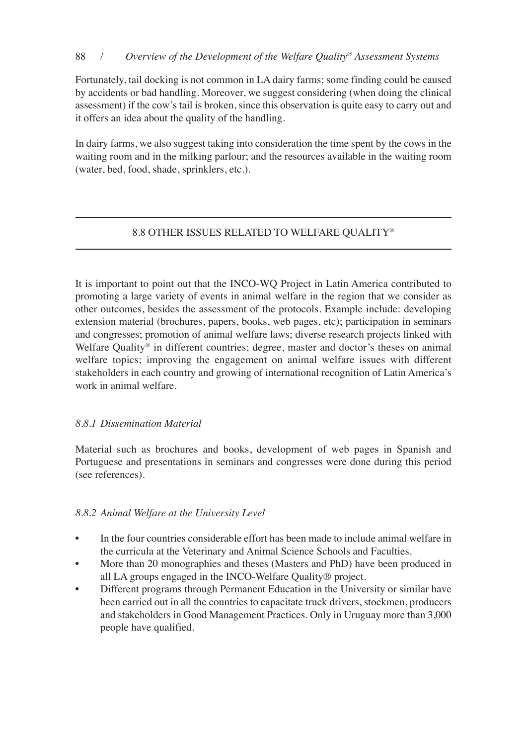# 88 / *Overview of the Development of the Welfare Quality® Assessment Systems*

fortunately, tail docking is not common in lA dairy farms; some finding could be caused by accidents or bad handling. moreover, we suggest considering (when doing the clinical assessment) if the cow's tail is broken, since this observation is quite easy to carry out and it offers an idea about the quality of the handling.

In dairy farms, we also suggest taking into consideration the time spent by the cows in the waiting room and in the milking parlour; and the resources available in the waiting room (water, bed, food, shade, sprinklers, etc.).

# 8.8 other issUes relAteD to welfAre QUAlity®

It is important to point out that the INCO-WQ Project in Latin America contributed to promoting a large variety of events in animal welfare in the region that we consider as other outcomes, besides the assessment of the protocols. Example include: developing extension material (brochures, papers, books, web pages, etc); participation in seminars and congresses; promotion of animal welfare laws; diverse research projects linked with Welfare Quality<sup>®</sup> in different countries; degree, master and doctor's theses on animal welfare topics; improving the engagement on animal welfare issues with different stakeholders in each country and growing of international recognition of latin America's work in animal welfare.

# *8.8.1 Dissemination Material*

Material such as brochures and books, development of web pages in Spanish and portuguese and presentations in seminars and congresses were done during this period (see references).

# *8.8.2 Animal Welfare at the University Level*

- In the four countries considerable effort has been made to include animal welfare in the curricula at the veterinary and Animal science schools and faculties.
- More than 20 monographies and theses (Masters and PhD) have been produced in all LA groups engaged in the INCO-Welfare Quality® project.
- Different programs through Permanent Education in the University or similar have been carried out in all the countries to capacitate truck drivers, stockmen, producers and stakeholders in Good management practices. only in Uruguay more than 3,000 people have qualified.